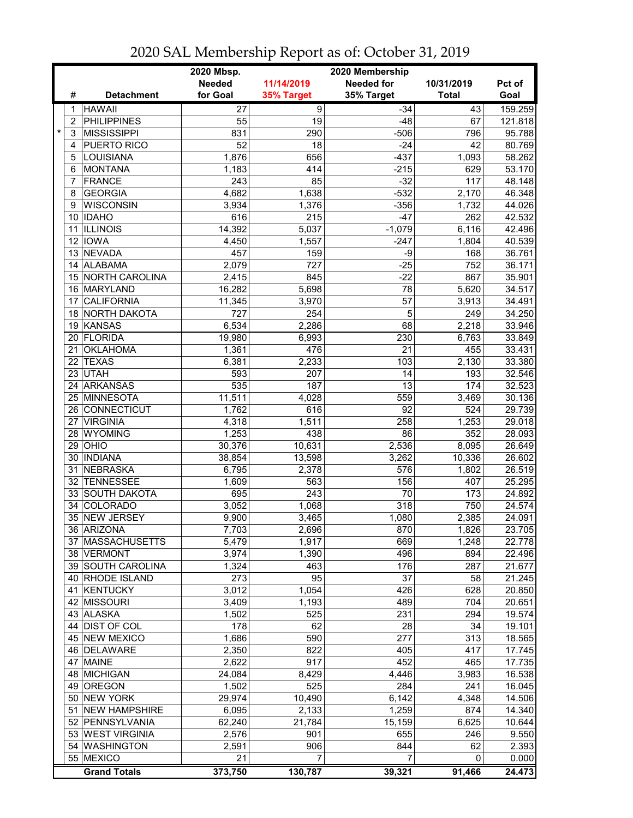|              |                     | 2020 Mbsp.<br>2020 Membership |                  |                   |              |         |  |
|--------------|---------------------|-------------------------------|------------------|-------------------|--------------|---------|--|
|              |                     | <b>Needed</b>                 | 11/14/2019       | <b>Needed for</b> | 10/31/2019   | Pct of  |  |
| #            | <b>Detachment</b>   | for Goal                      | 35% Target       | 35% Target        | <b>Total</b> | Goal    |  |
| 1            | <b>HAWAII</b>       | $\overline{27}$               | $\overline{9}$   | $-34$             | 43           | 159.259 |  |
| 2            | <b>PHILIPPINES</b>  | 55                            | 19               | $-48$             | 67           | 121.818 |  |
| $\star$<br>3 | <b>MISSISSIPPI</b>  | 831                           | 290              | $-506$            | 796          | 95.788  |  |
| 4            | <b>PUERTO RICO</b>  | $\overline{52}$               | 18               | $-24$             | 42           | 80.769  |  |
| 5            | LOUISIANA           | 1,876                         | 656              | $-437$            | 1,093        | 58.262  |  |
| 6            | <b>MONTANA</b>      | 1,183                         | 414              | $-215$            | 629          | 53.170  |  |
| 7            | <b>FRANCE</b>       | 243                           | 85               | $-32$             | 117          | 48.148  |  |
| 8            | <b>GEORGIA</b>      | 4,682                         | 1,638            | $-532$            | 2,170        | 46.348  |  |
| 9            | <b>WISCONSIN</b>    | 3,934                         | 1,376            | $-356$            | 1,732        | 44.026  |  |
|              | 10 IDAHO            | 616                           | 215              | $-47$             | 262          | 42.532  |  |
| 11           | <b>ILLINOIS</b>     | 14,392                        | 5,037            | $-1,079$          | 6,116        | 42.496  |  |
|              | 12 IOWA             | 4,450                         | 1,557            | $-247$            | 1,804        | 40.539  |  |
|              | 13 NEVADA           | 457                           | 159              | $-9$              | 168          | 36.761  |  |
|              | 14 ALABAMA          | 2,079                         | $\overline{727}$ | $-25$             | 752          | 36.171  |  |
|              | 15 NORTH CAROLINA   | 2,415                         | 845              | $-22$             | 867          | 35.901  |  |
|              | 16 MARYLAND         | 16,282                        | 5,698            | 78                | 5,620        | 34.517  |  |
| 17           | <b>CALIFORNIA</b>   | 11,345                        | 3,970            | 57                | 3,913        | 34.491  |  |
|              | 18 NORTH DAKOTA     | 727                           | 254              | $\overline{5}$    | 249          | 34.250  |  |
|              | 19 KANSAS           | 6,534                         | 2,286            | 68                | 2,218        | 33.946  |  |
| 20           | FLORIDA             | 19,980                        | 6,993            | 230               | 6,763        | 33.849  |  |
| 21           | <b>OKLAHOMA</b>     | 1,361                         | 476              | 21                | 455          | 33.431  |  |
| 22           | <b>TEXAS</b>        | 6,381                         | 2,233            | 103               | 2,130        | 33.380  |  |
| 23           | <b>UTAH</b>         | 593                           | 207              | 14                | 193          | 32.546  |  |
|              | 24 ARKANSAS         | 535                           | 187              | $\overline{13}$   | 174          | 32.523  |  |
|              | 25 MINNESOTA        | 11,511                        | 4,028            | 559               | 3,469        | 30.136  |  |
|              | 26 CONNECTICUT      | 1,762                         | 616              | $\overline{92}$   | 524          | 29.739  |  |
| 27           | <b>VIRGINIA</b>     | 4,318                         | 1,511            | 258               | 1,253        | 29.018  |  |
|              | 28 WYOMING          | 1,253                         | 438              | 86                | 352          | 28.093  |  |
|              | $29$ OHIO           | 30,376                        | 10,631           | 2,536             | 8,095        | 26.649  |  |
| 30           | <b>INDIANA</b>      | 38,854                        | 13,598           | 3,262             | 10,336       | 26.602  |  |
| 31           | <b>NEBRASKA</b>     | 6,795                         | 2,378            | 576               | 1,802        | 26.519  |  |
| 32           | <b>TENNESSEE</b>    | 1,609                         | 563              | 156               | 407          | 25.295  |  |
| 33           | <b>SOUTH DAKOTA</b> | 695                           | 243              | 70                | 173          | 24.892  |  |
| 34           | COLORADO            | 3,052                         | 1,068            | 318               | 750          | 24.574  |  |
|              | 35 NEW JERSEY       | 9,900                         | 3,465            | 1,080             | 2,385        | 24.091  |  |
|              | 36 ARIZONA          | 7,703                         | 2,696            | 870               | 1,826        | 23.705  |  |
|              | 37   MASSACHUSETTS  | 5,479                         | 1,917            | 669               | 1,248        | 22.778  |  |
|              | 38 VERMONT          | 3,974                         | 1,390            | 496               | 894          | 22.496  |  |
|              | 39 SOUTH CAROLINA   | 1,324                         | 463              | 176               | 287          | 21.677  |  |
|              | 40 RHODE ISLAND     | 273                           | 95               | 37                | 58           | 21.245  |  |
|              | 41 KENTUCKY         | 3,012                         | 1,054            | 426               | 628          | 20.850  |  |
|              | 42 MISSOURI         | 3,409                         | 1,193            | 489               | 704          | 20.651  |  |
|              | 43 ALASKA           | 1,502                         | 525              | 231               | 294          | 19.574  |  |
|              | 44 DIST OF COL      | 178                           | 62               | 28                | 34           | 19.101  |  |
|              | 45 NEW MEXICO       | 1,686                         | 590              | $\overline{277}$  | 313          | 18.565  |  |
|              | 46 DELAWARE         | 2,350                         | 822              | 405               | 417          | 17.745  |  |
|              | 47 MAINE            | 2,622                         | $\overline{917}$ | 452               | 465          | 17.735  |  |
|              | 48 MICHIGAN         | 24,084                        | 8,429            | 4,446             | 3,983        | 16.538  |  |
|              | 49 OREGON           | 1,502                         | 525              | 284               | 241          | 16.045  |  |
|              | 50 NEW YORK         | 29,974                        | 10,490           | 6,142             | 4,348        | 14.506  |  |
|              | 51 NEW HAMPSHIRE    | 6,095                         | 2,133            | 1,259             | 874          | 14.340  |  |
|              | 52 PENNSYLVANIA     | 62,240                        | 21,784           | 15,159            | 6,625        | 10.644  |  |
|              | 53 WEST VIRGINIA    | 2,576                         | 901              | 655               | 246          | 9.550   |  |
|              | 54 WASHINGTON       | 2,591                         | 906              | 844               | 62           | 2.393   |  |
|              | 55 MEXICO           | 21                            | 7                | 7                 | 0            | 0.000   |  |
|              | <b>Grand Totals</b> | 373,750                       | 130,787          | 39,321            | 91,466       | 24.473  |  |

2020 SAL Membership Report as of: October 31, 2019